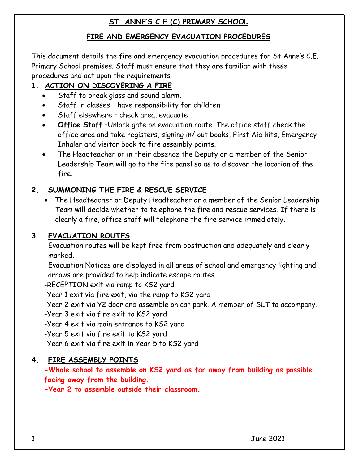#### **FIRE AND EMERGENCY EVACUATION PROCEDURES**

This document details the fire and emergency evacuation procedures for St Anne's C.E. Primary School premises. Staff must ensure that they are familiar with these procedures and act upon the requirements.

# **1. ACTION ON DISCOVERING A FIRE**

- Staff to break glass and sound alarm.
- Staff in classes have responsibility for children
- Staff elsewhere check area, evacuate
- **Office Staff** –Unlock gate on evacuation route. The office staff check the office area and take registers, signing in/ out books, First Aid kits, Emergency Inhaler and visitor book to fire assembly points.
- The Headteacher or in their absence the Deputy or a member of the Senior Leadership Team will go to the fire panel so as to discover the location of the fire.

# **2. SUMMONING THE FIRE & RESCUE SERVICE**

 The Headteacher or Deputy Headteacher or a member of the Senior Leadership Team will decide whether to telephone the fire and rescue services. If there is clearly a fire, office staff will telephone the fire service immediately.

## **3. EVACUATION ROUTES**

Evacuation routes will be kept free from obstruction and adequately and clearly marked.

Evacuation Notices are displayed in all areas of school and emergency lighting and arrows are provided to help indicate escape routes.

-RECEPTION exit via ramp to KS2 yard

-Year 1 exit via fire exit, via the ramp to KS2 yard

-Year 2 exit via Y2 door and assemble on car park. A member of SLT to accompany.

-Year 3 exit via fire exit to KS2 yard

-Year 4 exit via main entrance to KS2 yard

-Year 5 exit via fire exit to KS2 yard

-Year 6 exit via fire exit in Year 5 to KS2 yard

## **4. FIRE ASSEMBLY POINTS**

**-Whole school to assemble on KS2 yard as far away from building as possible facing away from the building.**

**-Year 2 to assemble outside their classroom.**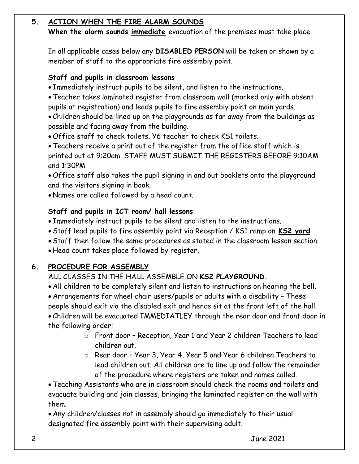## **5. ACTION WHEN THE FIRE ALARM SOUNDS**

**When the alarm sounds immediate** evacuation of the premises must take place.

In all applicable cases below any **DISABLED PERSON** will be taken or shown by a member of staff to the appropriate fire assembly point.

#### **Staff and pupils in classroom lessons**

Immediately instruct pupils to be silent, and listen to the instructions.

 Teacher takes laminated register from classroom wall (marked only with absent pupils at registration) and leads pupils to fire assembly point on main yards.

 Children should be lined up on the playgrounds as far away from the buildings as possible and facing away from the building.

Office staff to check toilets. Y6 teacher to check KS1 toilets.

 Teachers receive a print out of the register from the office staff which is printed out at 9:20am. STAFF MUST SUBMIT THE REGISTERS BEFORE 9:10AM and 1:30PM

 Office staff also takes the pupil signing in and out booklets onto the playground and the visitors signing in book.

Names are called followed by a head count.

## **Staff and pupils in ICT room/ hall lessons**

Immediately instruct pupils to be silent and listen to the instructions.

Staff lead pupils to fire assembly point via Reception / KS1 ramp on **KS2 yard**

Staff then follow the same procedures as stated in the classroom lesson section.

Head count takes place followed by register.

## **6. PROCEDURE FOR ASSEMBLY**

ALL CLASSES IN THE HALL ASSEMBLE ON **KS2 PLAYGROUND.**

All children to be completely silent and listen to instructions on hearing the bell.

Arrangements for wheel chair users/pupils or adults with a disability – These

people should exit via the disabled exit and hence sit at the front left of the hall.

 Children will be evacuated IMMEDIATLEY through the rear door and front door in the following order: -

- o Front door Reception, Year 1 and Year 2 children Teachers to lead children out.
- o Rear door Year 3, Year 4, Year 5 and Year 6 children Teachers to lead children out. All children are to line up and follow the remainder of the procedure where registers are taken and names called.

 Teaching Assistants who are in classroom should check the rooms and toilets and evacuate building and join classes, bringing the laminated register on the wall with them.

 Any children/classes not in assembly should go immediately to their usual designated fire assembly point with their supervising adult.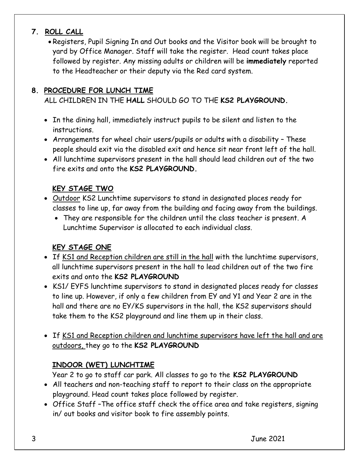## **7. ROLL CALL**

 Registers, Pupil Signing In and Out books and the Visitor book will be brought to yard by Office Manager. Staff will take the register. Head count takes place followed by register. Any missing adults or children will be **immediately** reported to the Headteacher or their deputy via the Red card system.

### **8. PROCEDURE FOR LUNCH TIME**

## ALL CHILDREN IN THE **HALL** SHOULD GO TO THE **KS2 PLAYGROUND.**

- In the dining hall, immediately instruct pupils to be silent and listen to the instructions.
- Arrangements for wheel chair users/pupils or adults with a disability These people should exit via the disabled exit and hence sit near front left of the hall.
- All lunchtime supervisors present in the hall should lead children out of the two fire exits and onto the **KS2 PLAYGROUND.**

## **KEY STAGE TWO**

- Outdoor KS2 Lunchtime supervisors to stand in designated places ready for classes to line up, far away from the building and facing away from the buildings.
	- They are responsible for the children until the class teacher is present. A Lunchtime Supervisor is allocated to each individual class.

#### **KEY STAGE ONE**

- If KS1 and Reception children are still in the hall with the lunchtime supervisors, all lunchtime supervisors present in the hall to lead children out of the two fire exits and onto the **KS2 PLAYGROUND**
- KS1/ EYFS lunchtime supervisors to stand in designated places ready for classes to line up. However, if only a few children from EY and Y1 and Year 2 are in the hall and there are no EY/KS supervisors in the hall, the KS2 supervisors should take them to the KS2 playground and line them up in their class.
- If KS1 and Reception children and lunchtime supervisors have left the hall and are outdoors, they go to the **KS2 PLAYGROUND**

## **INDOOR (WET) LUNCHTIME**

Year 2 to go to staff car park. All classes to go to the **KS2 PLAYGROUND**

- All teachers and non-teaching staff to report to their class on the appropriate playground. Head count takes place followed by register.
- Office Staff –The office staff check the office area and take registers, signing in/ out books and visitor book to fire assembly points.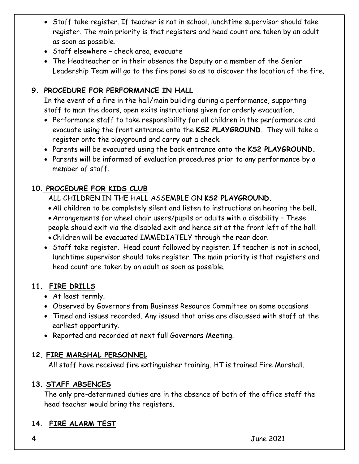- Staff take register. If teacher is not in school, lunchtime supervisor should take register. The main priority is that registers and head count are taken by an adult as soon as possible.
- Staff elsewhere check area, evacuate
- The Headteacher or in their absence the Deputy or a member of the Senior Leadership Team will go to the fire panel so as to discover the location of the fire.

## **9. PROCEDURE FOR PERFORMANCE IN HALL**

In the event of a fire in the hall/main building during a performance, supporting staff to man the doors, open exits instructions given for orderly evacuation.

- Performance staff to take responsibility for all children in the performance and evacuate using the front entrance onto the **KS2 PLAYGROUND.** They will take a register onto the playground and carry out a check.
- Parents will be evacuated using the back entrance onto the **KS2 PLAYGROUND.**
- Parents will be informed of evaluation procedures prior to any performance by a member of staff.

## **10. PROCEDURE FOR KIDS CLUB**

ALL CHILDREN IN THE HALL ASSEMBLE ON **KS2 PLAYGROUND.**

- All children to be completely silent and listen to instructions on hearing the bell.
- Arrangements for wheel chair users/pupils or adults with a disability These people should exit via the disabled exit and hence sit at the front left of the hall.
- Children will be evacuated IMMEDIATELY through the rear door.
- Staff take register. Head count followed by register. If teacher is not in school, lunchtime supervisor should take register. The main priority is that registers and head count are taken by an adult as soon as possible.

## **11. FIRE DRILLS**

- At least termly.
- Observed by Governors from Business Resource Committee on some occasions
- Timed and issues recorded. Any issued that arise are discussed with staff at the earliest opportunity.
- Reported and recorded at next full Governors Meeting.

## **12. FIRE MARSHAL PERSONNEL**

All staff have received fire extinguisher training. HT is trained Fire Marshall.

## **13. STAFF ABSENCES**

The only pre-determined duties are in the absence of both of the office staff the head teacher would bring the registers.

## **14. FIRE ALARM TEST**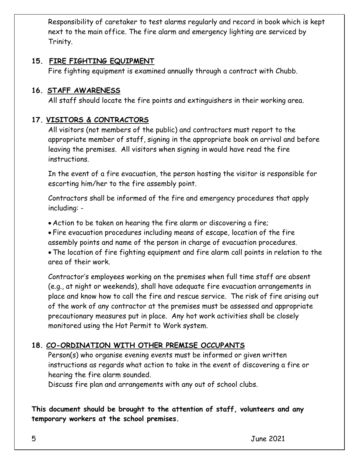Responsibility of caretaker to test alarms regularly and record in book which is kept next to the main office. The fire alarm and emergency lighting are serviced by Trinity.

#### **15. FIRE FIGHTING EQUIPMENT**

Fire fighting equipment is examined annually through a contract with Chubb.

#### **16. STAFF AWARENESS**

All staff should locate the fire points and extinguishers in their working area.

#### **17. VISITORS & CONTRACTORS**

All visitors (not members of the public) and contractors must report to the appropriate member of staff, signing in the appropriate book on arrival and before leaving the premises. All visitors when signing in would have read the fire instructions.

In the event of a fire evacuation, the person hosting the visitor is responsible for escorting him/her to the fire assembly point.

Contractors shall be informed of the fire and emergency procedures that apply including: -

Action to be taken on hearing the fire alarm or discovering a fire;

 Fire evacuation procedures including means of escape, location of the fire assembly points and name of the person in charge of evacuation procedures.

 The location of fire fighting equipment and fire alarm call points in relation to the area of their work.

Contractor's employees working on the premises when full time staff are absent (e.g., at night or weekends), shall have adequate fire evacuation arrangements in place and know how to call the fire and rescue service. The risk of fire arising out of the work of any contractor at the premises must be assessed and appropriate precautionary measures put in place. Any hot work activities shall be closely monitored using the Hot Permit to Work system.

## **18. CO-ORDINATION WITH OTHER PREMISE OCCUPANTS**

Person(s) who organise evening events must be informed or given written instructions as regards what action to take in the event of discovering a fire or hearing the fire alarm sounded.

Discuss fire plan and arrangements with any out of school clubs.

**This document should be brought to the attention of staff, volunteers and any temporary workers at the school premises.**